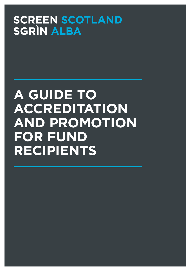# **SCREEN SCOTLAND SGRÌN ALBA**

# **A GUIDE TO ACCREDITATION AND PROMOTION FOR FUND RECIPIENTS**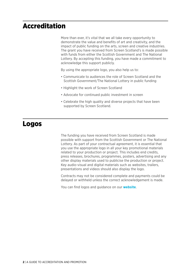### Accreditation

More than ever, it's vital that we all take every opportunity to demonstrate the value and benefits of art and creativity, and the impact of public funding on the arts, screen and creative industries. The grant you have received from Screen Scotland's is made possible with funds from either the Scottish Government and The National Lottery. By accepting this funding, you have made a commitment to acknowledge this support publicly.

By using the appropriate logo, you also help us to:

- Communicate to audiences the role of Screen Scotland and the Scottish Government/The National Lottery in public funding
- Highlight the work of Screen Scotland
- Advocate for continued public investment in screen
- Celebrate the high quality and diverse projects that have been supported by Screen Scotland.

#### Logos

The funding you have received from Screen Scotland is made possible with support from the Scottish Government or The National Lottery. As part of your contractual agreement, it is essential that you use the appropriate logo in all your key promotional materials related to your production or project. This includes end credits, press releases, brochures, programmes, posters, advertising and any other display materials used to publicise the production or project. Key audio-visual and digital materials such as websites, trailers, presentations and videos should also display the logo.

Contracts may not be considered complete and payments could be delayed or withheld unless the correct acknowledgement is made.

You can find logos and guidance on our **[website](https://www.screen.scot/about/accreditation/logos)**.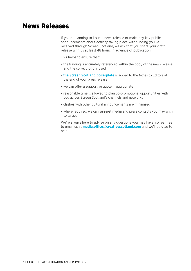#### News Releases

If you're planning to issue a news release or make any key public announcements about activity taking place with funding you've received through Screen Scotland, we ask that you share your draft release with us at least 48 hours in advance of publication.

This helps to ensure that:

- the funding is accurately referenced within the body of the news release and the correct logo is used
- **[the Screen Scotland boilerplate](https://www.screen.scot/about/contact/media-centre)** is added to the Notes to Editors at the end of your press release
- we can offer a supportive quote if appropriate
- reasonable time is allowed to plan co-promotional opportunities with you across Screen Scotland's channels and networks
- clashes with other cultural announcements are minimised
- where required, we can suggest media and press contacts you may wish to target

We're always here to advise on any questions you may have, so feel free to email us at **[media.office@creativescotland.com](mailto:media.office%40creativescotland.com?subject=)** and we'll be glad to help.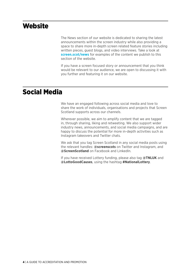#### **Website**

The News section of our website is dedicated to sharing the latest announcements within the screen industry while also providing a space to share more in-depth screen related feature stories including written pieces, guest blogs, and video interviews. Take a look at **[screen.scot/news](https://www.screen.scot/news)** for examples of the content we publish to this section of the website.

If you have a screen focused story or announcement that you think would be relevant to our audience, we are open to discussing it with you further and featuring it on our website.

#### Social Media

We have an engaged following across social media and love to share the work of individuals, organisations and projects that Screen Scotland supports across our channels.

Wherever possible, we aim to amplify content that we are tagged in, through sharing, liking and retweeting. We also support wider industry news, announcements, and social media campaigns, and are happy to discuss the potential for more in-depth activities such as Instagram takeovers and Twitter chats.

We ask that you tag Screen Scotland in any social media posts using the relevant handles: **@screenscots** on Twitter and Instagram, and **@ScreenScotland** on Facebook and LinkedIn.

If you have received Lottery funding, please also tag **@TNLUK** and **@LottoGoodCauses**, using the hashtag **#NationalLottery**.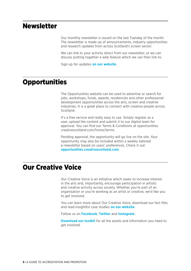#### **Newsletter**

Our monthly newsletter is issued on the last Tuesday of the month. The newsletter is made up of announcements, industry opportunities and research updates from across Scotland's screen sector.

We can link to your activity direct from our newsletter, or we can discuss putting together a web feature which we can then link to.

Sign up for updates **[on our website](https://www.screen.scot/about/contact/sign-up-for-updates)**.

#### **Opportunities**

The Opportunities website can be used to advertise or search for jobs, workshops, funds, awards, residencies and other professional development opportunities across the arts, screen and creative industries. It is a great place to connect with creative people across Scotland.

It's a free service and really easy to use. Simply register as a user, upload the content and submit it to our digital team for approval. You can find our Terms & Conditions at opportunities. creativescotland.com/home/terms.

Pending approval, the opportunity will go live on the site. Your opportunity may also be included within a weekly tailored e-newsletter based on users' preferences. Check it out: **[opportunities.creativescotland.com](https://opportunities.creativescotland.com/)**

#### Our Creative Voice

Our Creative Voice is an initiative which seeks to increase interest in the arts and, importantly, encourage participation in artistic and creative activity across society. Whether you're part of an organisation or you're working as an artist or creative, we'd like you to get involved.

You can learn more about Our Creative Voice, download our fact files and read insightful case studies **[on our website](https://www.ourcreativevoice.scot/)**.

Follow us on **[Facebook](https://www.facebook.com/ourcreativevoice/)**, **[Twitter](https://twitter.com/creative_voice_)** and **[Instagram](https://www.instagram.com/ourcreativevoice/)**.

**[Download our toolkit](https://www.ourcreativevoice.scot/get-involved)** for all the assets and information you need to get involved.